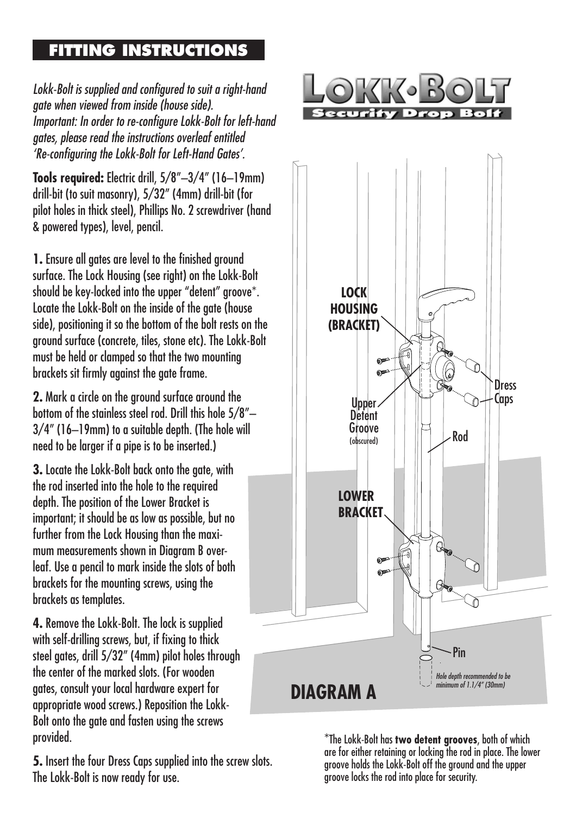## **FITTING INSTRUCTIONS**

Lokk-Bolt is supplied and configured to suit a right-hand gate when viewed from inside (house side). Important: In order to re-configure Lokk-Bolt for left-hand gates, please read the instructions overleaf entitled 'Re-configuring the Lokk-Bolt for Left-Hand Gates'.

**Tools required:** Electric drill, 5/8"–3/4" (16–19mm) drill-bit (to suit masonry), 5/32" (4mm) drill-bit (for pilot holes in thick steel), Phillips No. 2 screwdriver (hand & powered types), level, pencil.

**1.** Ensure all gates are level to the finished ground surface. The Lock Housing (see right) on the Lokk-Bolt should be key-locked into the upper "detent" groove\*. Locate the Lokk-Bolt on the inside of the gate (house side), positioning it so the bottom of the bolt rests on the ground surface (concrete, tiles, stone etc). The Lokk-Bolt must be held or clamped so that the two mounting brackets sit firmly against the gate frame.

**2.** Mark a circle on the ground surface around the bottom of the stainless steel rod. Drill this hole 5/8"– 3/4" (16–19mm) to a suitable depth. (The hole will need to be larger if a pipe is to be inserted.)

**3.** Locate the Lokk-Bolt back onto the gate, with the rod inserted into the hole to the required depth. The position of the Lower Bracket is important; it should be as low as possible, but no further from the Lock Housing than the maximum measurements shown in Diagram B overleaf. Use a pencil to mark inside the slots of both brackets for the mounting screws, using the brackets as templates.

**4.** Remove the Lokk-Bolt. The lock is supplied with self-drilling screws, but, if fixing to thick steel gates, drill 5/32" (4mm) pilot holes through the center of the marked slots. (For wooden gates, consult your local hardware expert for appropriate wood screws.) Reposition the Lokk-Bolt onto the gate and fasten using the screws provided.

**5.** Insert the four Dress Caps supplied into the screw slots. The Lokk-Bolt is now ready for use.





\*The Lokk-Bolt has **two detent grooves**, both of which are for either retaining or locking the rod in place. The lower groove holds the Lokk-Bolt off the ground and the upper groove locks the rod into place for security.